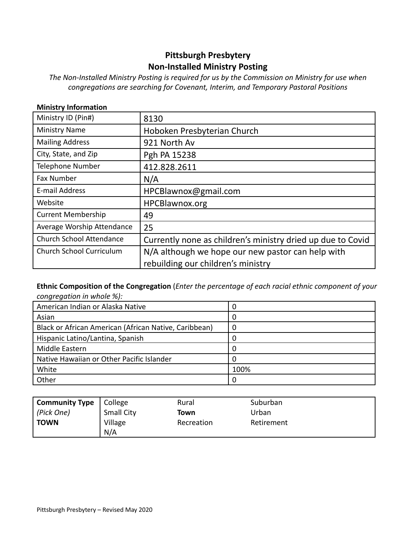# **Pittsburgh Presbytery Non-Installed Ministry Posting**

*The Non-Installed Ministry Posting is required for us by the Commission on Ministry for use when congregations are searching for Covenant, Interim, and Temporary Pastoral Positions*

| <b>Ministry Information</b>     |                                                             |
|---------------------------------|-------------------------------------------------------------|
| Ministry ID (Pin#)              | 8130                                                        |
| <b>Ministry Name</b>            | Hoboken Presbyterian Church                                 |
| <b>Mailing Address</b>          | 921 North Av                                                |
| City, State, and Zip            | Pgh PA 15238                                                |
| Telephone Number                | 412.828.2611                                                |
| <b>Fax Number</b>               | N/A                                                         |
| E-mail Address                  | HPCBlawnox@gmail.com                                        |
| Website                         | HPCBlawnox.org                                              |
| <b>Current Membership</b>       | 49                                                          |
| Average Worship Attendance      | 25                                                          |
| <b>Church School Attendance</b> | Currently none as children's ministry dried up due to Covid |
| Church School Curriculum        | N/A although we hope our new pastor can help with           |
|                                 | rebuilding our children's ministry                          |

### **Ethnic Composition of the Congregation** (*Enter the percentage of each racial ethnic component of your congregation in whole %):*

| American Indian or Alaska Native                      |      |
|-------------------------------------------------------|------|
| Asian                                                 |      |
| Black or African American (African Native, Caribbean) |      |
| Hispanic Latino/Lantina, Spanish                      |      |
| Middle Eastern                                        |      |
| Native Hawaiian or Other Pacific Islander             |      |
| White                                                 | 100% |
| Other                                                 |      |

| <b>Community Type</b> | College           | Rural      | Suburban   |
|-----------------------|-------------------|------------|------------|
| (Pick One)            | <b>Small City</b> | Town       | Urban      |
| <b>TOWN</b>           | Village           | Recreation | Retirement |
|                       | N/A               |            |            |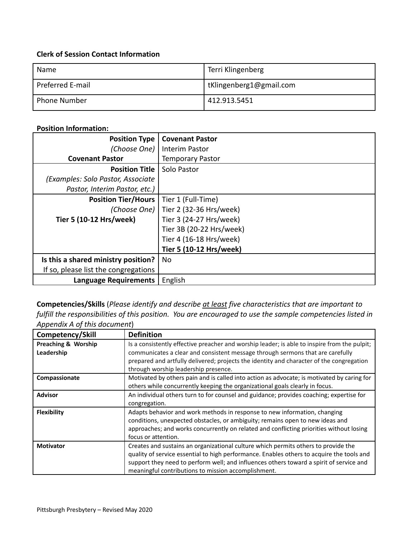## **Clerk of Session Contact Information**

| Name                | Terri Klingenberg       |
|---------------------|-------------------------|
| Preferred E-mail    | tKlingenberg1@gmail.com |
| <b>Phone Number</b> | 412.913.5451            |

## **Position Information:**

| <b>Position Type</b>                 | <b>Covenant Pastor</b>                 |
|--------------------------------------|----------------------------------------|
| (Choose One)                         | Interim Pastor                         |
| <b>Covenant Pastor</b>               | <b>Temporary Pastor</b>                |
| <b>Position Title</b>                | Solo Pastor                            |
| (Examples: Solo Pastor, Associate    |                                        |
| Pastor, Interim Pastor, etc.)        |                                        |
| <b>Position Tier/Hours</b>           | Tier 1 (Full-Time)                     |
|                                      | (Choose One)   Tier 2 (32-36 Hrs/week) |
| Tier 5 (10-12 Hrs/week)              | Tier 3 (24-27 Hrs/week)                |
|                                      | Tier 3B (20-22 Hrs/week)               |
|                                      | Tier 4 (16-18 Hrs/week)                |
|                                      | Tier 5 (10-12 Hrs/week)                |
| Is this a shared ministry position?  | No                                     |
| If so, please list the congregations |                                        |
| <b>Language Requirements</b>         | English                                |

**Competencies/Skills** (*Please identify and describe at least five characteristics that are important to fulfill the responsibilities of this position. You are encouraged to use the sample competencies listed in Appendix A of this document*)

| Competency/Skill                             | <b>Definition</b>                                                                                                                                                                                                                                                                                                                 |
|----------------------------------------------|-----------------------------------------------------------------------------------------------------------------------------------------------------------------------------------------------------------------------------------------------------------------------------------------------------------------------------------|
| <b>Preaching &amp; Worship</b><br>Leadership | Is a consistently effective preacher and worship leader; is able to inspire from the pulpit;<br>communicates a clear and consistent message through sermons that are carefully<br>prepared and artfully delivered; projects the identity and character of the congregation<br>through worship leadership presence.                |
| Compassionate                                | Motivated by others pain and is called into action as advocate; is motivated by caring for<br>others while concurrently keeping the organizational goals clearly in focus.                                                                                                                                                        |
| <b>Advisor</b>                               | An individual others turn to for counsel and guidance; provides coaching; expertise for<br>congregation.                                                                                                                                                                                                                          |
| <b>Flexibility</b>                           | Adapts behavior and work methods in response to new information, changing<br>conditions, unexpected obstacles, or ambiguity; remains open to new ideas and<br>approaches; and works concurrently on related and conflicting priorities without losing<br>focus or attention.                                                      |
| <b>Motivator</b>                             | Creates and sustains an organizational culture which permits others to provide the<br>quality of service essential to high performance. Enables others to acquire the tools and<br>support they need to perform well; and influences others toward a spirit of service and<br>meaningful contributions to mission accomplishment. |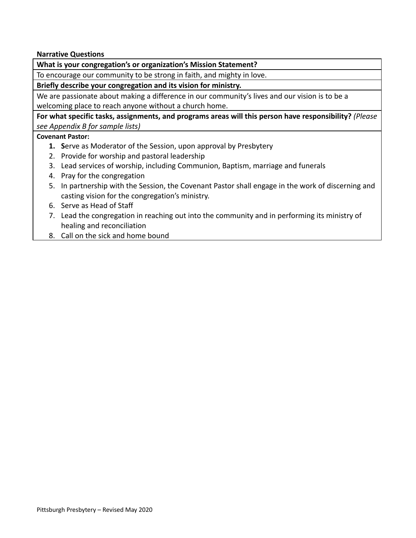**Narrative Questions**

**What is your congregation's or organization's Mission Statement?**

To encourage our community to be strong in faith, and mighty in love.

**Briefly describe your congregation and its vision for ministry.**

We are passionate about making a difference in our community's lives and our vision is to be a welcoming place to reach anyone without a church home.

**For what specific tasks, assignments, and programs areas will this person have responsibility?** *(Please see Appendix B for sample lists)*

## **Covenant Pastor:**

- **1. S**erve as Moderator of the Session, upon approval by Presbytery
- 2. Provide for worship and pastoral leadership
- 3. Lead services of worship, including Communion, Baptism, marriage and funerals
- 4. Pray for the congregation
- 5. In partnership with the Session, the Covenant Pastor shall engage in the work of discerning and casting vision for the congregation's ministry.
- 6. Serve as Head of Staff
- 7. Lead the congregation in reaching out into the community and in performing its ministry of healing and reconciliation
- 8. Call on the sick and home bound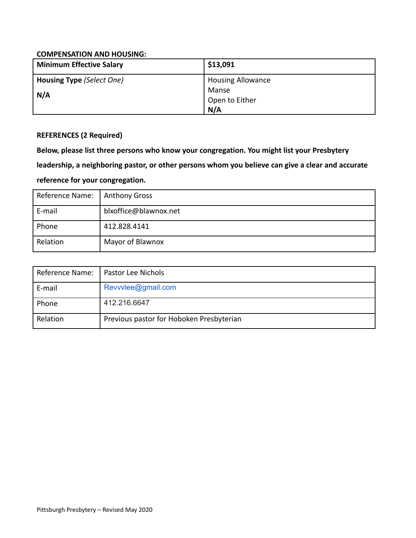### **COMPENSATION AND HOUSING:**

| Minimum Effective Salary  | \$13,091                 |
|---------------------------|--------------------------|
| Housing Type (Select One) | <b>Housing Allowance</b> |
| N/A                       | Manse                    |
|                           | Open to Either           |
|                           | N/A                      |

## **REFERENCES (2 Required)**

**Below, please list three persons who know your congregation. You might list your Presbytery**

**leadership, a neighboring pastor, or other persons whom you believe can give a clear and accurate**

## **reference for your congregation.**

| Reference Name: | <b>Anthony Gross</b>  |
|-----------------|-----------------------|
| E-mail          | blxoffice@blawnox.net |
| Phone           | 412.828.4141          |
| Relation        | Mayor of Blawnox      |

| Reference Name: | Pastor Lee Nichols                       |
|-----------------|------------------------------------------|
| E-mail          | Revvvlee@gmail.com                       |
| Phone           | 412.216.6647                             |
| Relation        | Previous pastor for Hoboken Presbyterian |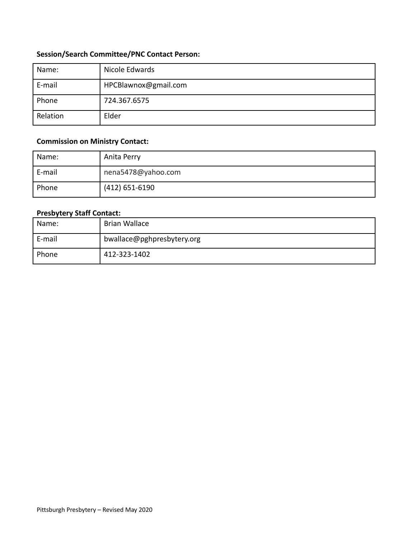## **Session/Search Committee/PNC Contact Person:**

| Name:    | Nicole Edwards       |
|----------|----------------------|
| E-mail   | HPCBlawnox@gmail.com |
| Phone    | 724.367.6575         |
| Relation | Elder                |

## **Commission on Ministry Contact:**

| Name:  | Anita Perry        |
|--------|--------------------|
| E-mail | nena5478@yahoo.com |
| Phone  | $(412)$ 651-6190   |

## **Presbytery Staff Contact:**

| Name:  | Brian Wallace              |
|--------|----------------------------|
| E-mail | bwallace@pghpresbytery.org |
| Phone  | 412-323-1402               |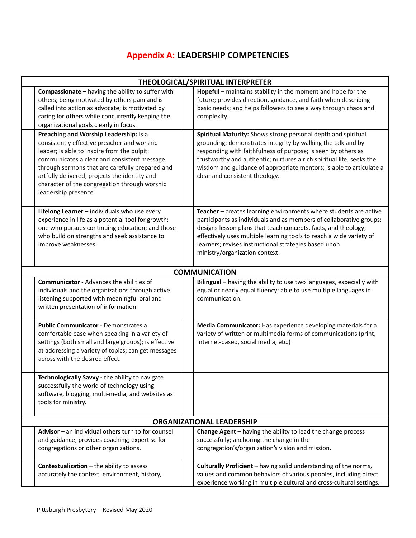# **Appendix A: LEADERSHIP COMPETENCIES**

| THEOLOGICAL/SPIRITUAL INTERPRETER                                                                                                                                                                                                                                                                                                                                |  |                                                                                                                                                                                                                                                                                                                                                                                 |  |  |  |
|------------------------------------------------------------------------------------------------------------------------------------------------------------------------------------------------------------------------------------------------------------------------------------------------------------------------------------------------------------------|--|---------------------------------------------------------------------------------------------------------------------------------------------------------------------------------------------------------------------------------------------------------------------------------------------------------------------------------------------------------------------------------|--|--|--|
| Compassionate - having the ability to suffer with<br>others; being motivated by others pain and is<br>called into action as advocate; is motivated by<br>caring for others while concurrently keeping the<br>organizational goals clearly in focus.                                                                                                              |  | Hopeful - maintains stability in the moment and hope for the<br>future; provides direction, guidance, and faith when describing<br>basic needs; and helps followers to see a way through chaos and<br>complexity.                                                                                                                                                               |  |  |  |
| Preaching and Worship Leadership: Is a<br>consistently effective preacher and worship<br>leader; is able to inspire from the pulpit;<br>communicates a clear and consistent message<br>through sermons that are carefully prepared and<br>artfully delivered; projects the identity and<br>character of the congregation through worship<br>leadership presence. |  | Spiritual Maturity: Shows strong personal depth and spiritual<br>grounding; demonstrates integrity by walking the talk and by<br>responding with faithfulness of purpose; is seen by others as<br>trustworthy and authentic; nurtures a rich spiritual life; seeks the<br>wisdom and guidance of appropriate mentors; is able to articulate a<br>clear and consistent theology. |  |  |  |
| Lifelong Learner - individuals who use every<br>experience in life as a potential tool for growth;<br>one who pursues continuing education; and those<br>who build on strengths and seek assistance to<br>improve weaknesses.                                                                                                                                    |  | Teacher - creates learning environments where students are active<br>participants as individuals and as members of collaborative groups;<br>designs lesson plans that teach concepts, facts, and theology;<br>effectively uses multiple learning tools to reach a wide variety of<br>learners; revises instructional strategies based upon<br>ministry/organization context.    |  |  |  |
|                                                                                                                                                                                                                                                                                                                                                                  |  | <b>COMMUNICATION</b>                                                                                                                                                                                                                                                                                                                                                            |  |  |  |
| <b>Communicator</b> - Advances the abilities of<br>individuals and the organizations through active<br>listening supported with meaningful oral and<br>written presentation of information.                                                                                                                                                                      |  | Bilingual - having the ability to use two languages, especially with<br>equal or nearly equal fluency; able to use multiple languages in<br>communication.                                                                                                                                                                                                                      |  |  |  |
| <b>Public Communicator - Demonstrates a</b><br>comfortable ease when speaking in a variety of<br>settings (both small and large groups); is effective<br>at addressing a variety of topics; can get messages<br>across with the desired effect.                                                                                                                  |  | Media Communicator: Has experience developing materials for a<br>variety of written or multimedia forms of communications (print,<br>Internet-based, social media, etc.)                                                                                                                                                                                                        |  |  |  |
| Technologically Savvy - the ability to navigate<br>successfully the world of technology using<br>software, blogging, multi-media, and websites as<br>tools for ministry.                                                                                                                                                                                         |  |                                                                                                                                                                                                                                                                                                                                                                                 |  |  |  |
| <b>ORGANIZATIONAL LEADERSHIP</b>                                                                                                                                                                                                                                                                                                                                 |  |                                                                                                                                                                                                                                                                                                                                                                                 |  |  |  |
| Advisor $-$ an individual others turn to for counsel<br>and guidance; provides coaching; expertise for<br>congregations or other organizations.                                                                                                                                                                                                                  |  | Change Agent - having the ability to lead the change process<br>successfully; anchoring the change in the<br>congregation's/organization's vision and mission.                                                                                                                                                                                                                  |  |  |  |
| <b>Contextualization</b> - the ability to assess<br>accurately the context, environment, history,                                                                                                                                                                                                                                                                |  | Culturally Proficient - having solid understanding of the norms,<br>values and common behaviors of various peoples, including direct<br>experience working in multiple cultural and cross-cultural settings.                                                                                                                                                                    |  |  |  |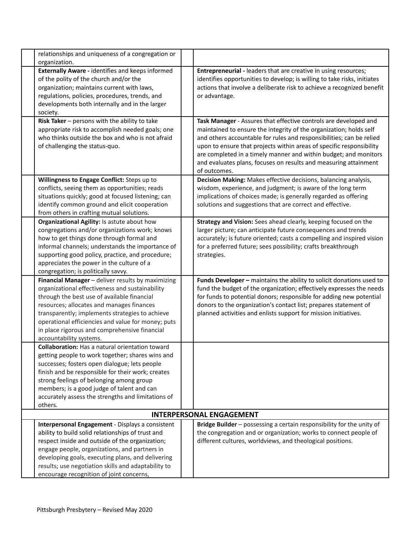| organization.                                                                                                                                                                | relationships and uniqueness of a congregation or                                                                                                                                                                                                                                                                     |                                                                                                                                                                                                                                                                                                                                                                                                                                                |
|------------------------------------------------------------------------------------------------------------------------------------------------------------------------------|-----------------------------------------------------------------------------------------------------------------------------------------------------------------------------------------------------------------------------------------------------------------------------------------------------------------------|------------------------------------------------------------------------------------------------------------------------------------------------------------------------------------------------------------------------------------------------------------------------------------------------------------------------------------------------------------------------------------------------------------------------------------------------|
| of the polity of the church and/or the<br>organization; maintains current with laws,<br>society.                                                                             | <b>Externally Aware - identifies and keeps informed</b><br>regulations, policies, procedures, trends, and<br>developments both internally and in the larger                                                                                                                                                           | Entrepreneurial - leaders that are creative in using resources;<br>identifies opportunities to develop; is willing to take risks, initiates<br>actions that involve a deliberate risk to achieve a recognized benefit<br>or advantage.                                                                                                                                                                                                         |
| Risk Taker - persons with the ability to take<br>of challenging the status-quo.                                                                                              | appropriate risk to accomplish needed goals; one<br>who thinks outside the box and who is not afraid                                                                                                                                                                                                                  | Task Manager - Assures that effective controls are developed and<br>maintained to ensure the integrity of the organization; holds self<br>and others accountable for rules and responsibilities; can be relied<br>upon to ensure that projects within areas of specific responsibility<br>are completed in a timely manner and within budget; and monitors<br>and evaluates plans, focuses on results and measuring attainment<br>of outcomes. |
| Willingness to Engage Conflict: Steps up to<br>from others in crafting mutual solutions.                                                                                     | conflicts, seeing them as opportunities; reads<br>situations quickly; good at focused listening; can<br>identify common ground and elicit cooperation                                                                                                                                                                 | Decision Making: Makes effective decisions, balancing analysis,<br>wisdom, experience, and judgment; is aware of the long term<br>implications of choices made; is generally regarded as offering<br>solutions and suggestions that are correct and effective.                                                                                                                                                                                 |
| Organizational Agility: Is astute about how<br>how to get things done through formal and<br>appreciates the power in the culture of a<br>congregation; is politically savvy. | congregations and/or organizations work; knows<br>informal channels; understands the importance of<br>supporting good policy, practice, and procedure;                                                                                                                                                                | Strategy and Vision: Sees ahead clearly, keeping focused on the<br>larger picture; can anticipate future consequences and trends<br>accurately; is future oriented; casts a compelling and inspired vision<br>for a preferred future; sees possibility; crafts breakthrough<br>strategies.                                                                                                                                                     |
| through the best use of available financial<br>resources; allocates and manages finances<br>accountability systems.                                                          | Financial Manager - deliver results by maximizing<br>organizational effectiveness and sustainability<br>transparently; implements strategies to achieve<br>operational efficiencies and value for money; puts<br>in place rigorous and comprehensive financial                                                        | Funds Developer - maintains the ability to solicit donations used to<br>fund the budget of the organization; effectively expresses the needs<br>for funds to potential donors; responsible for adding new potential<br>donors to the organization's contact list; prepares statement of<br>planned activities and enlists support for mission initiatives.                                                                                     |
| successes; fosters open dialogue; lets people<br>strong feelings of belonging among group<br>members; is a good judge of talent and can<br>others.                           | <b>Collaboration:</b> Has a natural orientation toward<br>getting people to work together; shares wins and<br>finish and be responsible for their work; creates<br>accurately assess the strengths and limitations of                                                                                                 |                                                                                                                                                                                                                                                                                                                                                                                                                                                |
|                                                                                                                                                                              |                                                                                                                                                                                                                                                                                                                       | <b>INTERPERSONAL ENGAGEMENT</b>                                                                                                                                                                                                                                                                                                                                                                                                                |
| encourage recognition of joint concerns,                                                                                                                                     | Interpersonal Engagement - Displays a consistent<br>ability to build solid relationships of trust and<br>respect inside and outside of the organization;<br>engage people, organizations, and partners in<br>developing goals, executing plans, and delivering<br>results; use negotiation skills and adaptability to | Bridge Builder - possessing a certain responsibility for the unity of<br>the congregation and or organization; works to connect people of<br>different cultures, worldviews, and theological positions.                                                                                                                                                                                                                                        |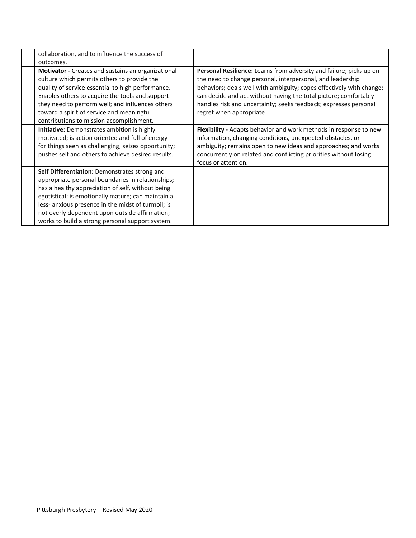| collaboration, and to influence the success of<br>outcomes.                                                                                                                                                                                                                                                                                                               |                                                                                                                                                                                                                                                                                                                                                                                     |
|---------------------------------------------------------------------------------------------------------------------------------------------------------------------------------------------------------------------------------------------------------------------------------------------------------------------------------------------------------------------------|-------------------------------------------------------------------------------------------------------------------------------------------------------------------------------------------------------------------------------------------------------------------------------------------------------------------------------------------------------------------------------------|
| <b>Motivator</b> - Creates and sustains an organizational<br>culture which permits others to provide the<br>quality of service essential to high performance.<br>Enables others to acquire the tools and support<br>they need to perform well; and influences others<br>toward a spirit of service and meaningful<br>contributions to mission accomplishment.             | <b>Personal Resilience:</b> Learns from adversity and failure; picks up on<br>the need to change personal, interpersonal, and leadership<br>behaviors; deals well with ambiguity; copes effectively with change;<br>can decide and act without having the total picture; comfortably<br>handles risk and uncertainty; seeks feedback; expresses personal<br>regret when appropriate |
| <b>Initiative:</b> Demonstrates ambition is highly<br>motivated; is action oriented and full of energy<br>for things seen as challenging; seizes opportunity;<br>pushes self and others to achieve desired results.                                                                                                                                                       | Flexibility - Adapts behavior and work methods in response to new<br>information, changing conditions, unexpected obstacles, or<br>ambiguity; remains open to new ideas and approaches; and works<br>concurrently on related and conflicting priorities without losing<br>focus or attention.                                                                                       |
| Self Differentiation: Demonstrates strong and<br>appropriate personal boundaries in relationships;<br>has a healthy appreciation of self, without being<br>egotistical; is emotionally mature; can maintain a<br>less- anxious presence in the midst of turmoil; is<br>not overly dependent upon outside affirmation;<br>works to build a strong personal support system. |                                                                                                                                                                                                                                                                                                                                                                                     |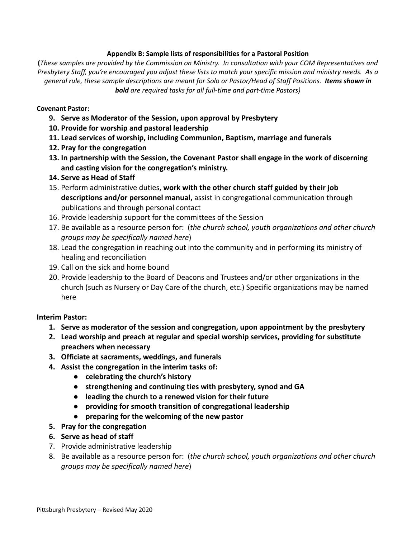### **Appendix B: Sample lists of responsibilities for a Pastoral Position**

(These samples are provided by the Commission on Ministry. In consultation with your COM Representatives and Presbytery Staff, you're encouraged you adjust these lists to match your specific mission and ministry needs. As a general rule, these sample descriptions are meant for Solo or Pastor/Head of Staff Positions. Items shown in *bold are required tasks for all full-time and part-time Pastors)*

### **Covenant Pastor:**

- **9. Serve as Moderator of the Session, upon approval by Presbytery**
- **10. Provide for worship and pastoral leadership**
- **11. Lead services of worship, including Communion, Baptism, marriage and funerals**
- **12. Pray for the congregation**
- **13. In partnership with the Session, the Covenant Pastor shall engage in the work of discerning and casting vision for the congregation's ministry.**
- **14. Serve as Head of Staff**
- 15. Perform administrative duties, **work with the other church staff guided by their job descriptions and/or personnel manual,** assist in congregational communication through publications and through personal contact
- 16. Provide leadership support for the committees of the Session
- 17. Be available as a resource person for: (*the church school, youth organizations and other church groups may be specifically named here*)
- 18. Lead the congregation in reaching out into the community and in performing its ministry of healing and reconciliation
- 19. Call on the sick and home bound
- 20. Provide leadership to the Board of Deacons and Trustees and/or other organizations in the church (such as Nursery or Day Care of the church, etc.) Specific organizations may be named here

### **Interim Pastor:**

- **1. Serve as moderator of the session and congregation, upon appointment by the presbytery**
- **2. Lead worship and preach at regular and special worship services, providing for substitute preachers when necessary**
- **3. Officiate at sacraments, weddings, and funerals**
- **4. Assist the congregation in the interim tasks of:**
	- **● celebrating the church's history**
	- **● strengthening and continuing ties with presbytery, synod and GA**
	- **● leading the church to a renewed vision for their future**
	- **● providing for smooth transition of congregational leadership**
	- **● preparing for the welcoming of the new pastor**
- **5. Pray for the congregation**
- **6. Serve as head of staff**
- 7. Provide administrative leadership
- 8. Be available as a resource person for: (*the church school, youth organizations and other church groups may be specifically named here*)